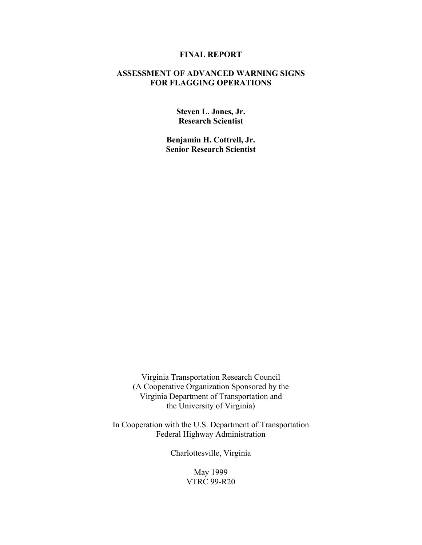## **FINAL REPORT**

## **ASSESSMENT OF ADVANCED WARNING SIGNS FOR FLAGGING OPERATIONS**

**Steven L. Jones, Jr. Research Scientist** 

**Benjamin H. Cottrell, Jr. Senior Research Scientist** 

Virginia Transportation Research Council (A Cooperative Organization Sponsored by the Virginia Department of Transportation and the University of Virginia)

In Cooperation with the U.S. Department of Transportation Federal Highway Administration

Charlottesville, Virginia

May 1999 VTRC 99-R20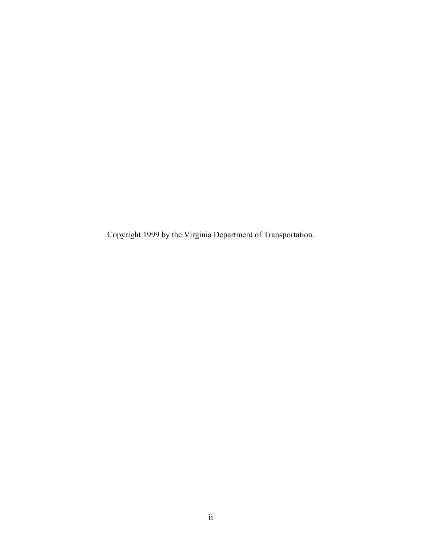Copyright 1999 by the Virginia Department of Transportation.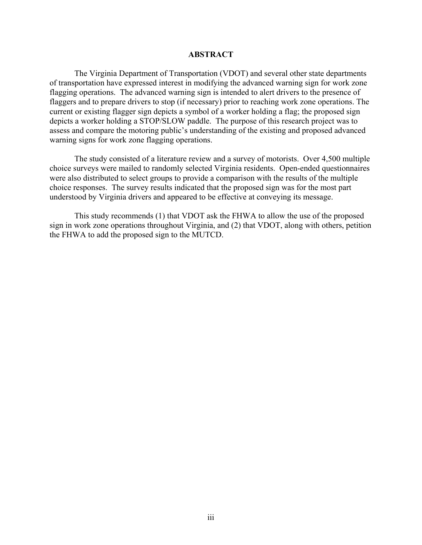### **ABSTRACT**

The Virginia Department of Transportation (VDOT) and several other state departments of transportation have expressed interest in modifying the advanced warning sign for work zone flagging operations. The advanced warning sign is intended to alert drivers to the presence of flaggers and to prepare drivers to stop (if necessary) prior to reaching work zone operations. The current or existing flagger sign depicts a symbol of a worker holding a flag; the proposed sign depicts a worker holding a STOP/SLOW paddle. The purpose of this research project was to assess and compare the motoring public's understanding of the existing and proposed advanced warning signs for work zone flagging operations.

 The study consisted of a literature review and a survey of motorists. Over 4,500 multiple choice surveys were mailed to randomly selected Virginia residents. Open-ended questionnaires were also distributed to select groups to provide a comparison with the results of the multiple choice responses. The survey results indicated that the proposed sign was for the most part understood by Virginia drivers and appeared to be effective at conveying its message.

This study recommends (1) that VDOT ask the FHWA to allow the use of the proposed sign in work zone operations throughout Virginia, and (2) that VDOT, along with others, petition the FHWA to add the proposed sign to the MUTCD.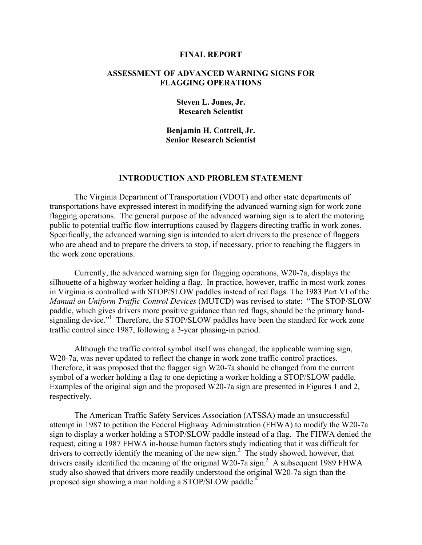#### **FINAL REPORT**

## **ASSESSMENT OF ADVANCED WARNING SIGNS FOR FLAGGING OPERATIONS**

**Steven L. Jones, Jr. Research Scientist** 

**Benjamin H. Cottrell, Jr. Senior Research Scientist** 

## **INTRODUCTION AND PROBLEM STATEMENT**

The Virginia Department of Transportation (VDOT) and other state departments of transportations have expressed interest in modifying the advanced warning sign for work zone flagging operations. The general purpose of the advanced warning sign is to alert the motoring public to potential traffic flow interruptions caused by flaggers directing traffic in work zones. Specifically, the advanced warning sign is intended to alert drivers to the presence of flaggers who are ahead and to prepare the drivers to stop, if necessary, prior to reaching the flaggers in the work zone operations.

Currently, the advanced warning sign for flagging operations, W20-7a, displays the silhouette of a highway worker holding a flag. In practice, however, traffic in most work zones in Virginia is controlled with STOP/SLOW paddles instead of red flags. The 1983 Part VI of the *Manual on Uniform Traffic Control Devices* (MUTCD) was revised to state: "The STOP/SLOW paddle, which gives drivers more positive guidance than red flags, should be the primary handsignaling device."<sup>1</sup> Therefore, the STOP/SLOW paddles have been the standard for work zone traffic control since 1987, following a 3-year phasing-in period.

Although the traffic control symbol itself was changed, the applicable warning sign, W20-7a, was never updated to reflect the change in work zone traffic control practices. Therefore, it was proposed that the flagger sign W20-7a should be changed from the current symbol of a worker holding a flag to one depicting a worker holding a STOP/SLOW paddle. Examples of the original sign and the proposed W20-7a sign are presented in Figures 1 and 2, respectively.

The American Traffic Safety Services Association (ATSSA) made an unsuccessful attempt in 1987 to petition the Federal Highway Administration (FHWA) to modify the W20-7a sign to display a worker holding a STOP/SLOW paddle instead of a flag. The FHWA denied the request, citing a 1987 FHWA in-house human factors study indicating that it was difficult for drivers to correctly identify the meaning of the new sign.<sup>2</sup> The study showed, however, that drivers easily identified the meaning of the original W20-7a sign.<sup>3</sup> A subsequent 1989 FHWA study also showed that drivers more readily understood the original W20-7a sign than the proposed sign showing a man holding a STOP/SLOW paddle.<sup>4</sup>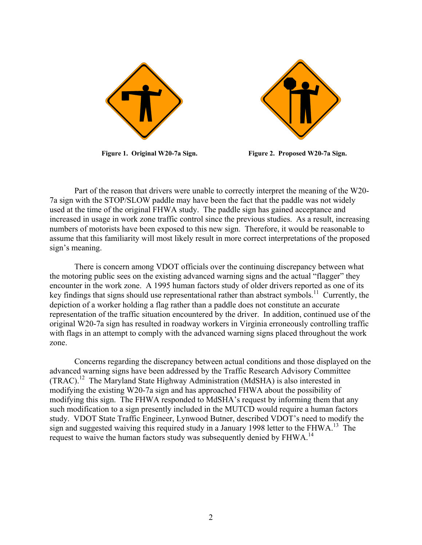



**Figure 1. Original W20-7a Sign. Figure 2. Proposed W20-7a Sign.** 

Part of the reason that drivers were unable to correctly interpret the meaning of the W20- 7a sign with the STOP/SLOW paddle may have been the fact that the paddle was not widely used at the time of the original FHWA study. The paddle sign has gained acceptance and increased in usage in work zone traffic control since the previous studies. As a result, increasing numbers of motorists have been exposed to this new sign. Therefore, it would be reasonable to assume that this familiarity will most likely result in more correct interpretations of the proposed sign's meaning.

There is concern among VDOT officials over the continuing discrepancy between what the motoring public sees on the existing advanced warning signs and the actual "flagger" they encounter in the work zone. A 1995 human factors study of older drivers reported as one of its key findings that signs should use representational rather than abstract symbols.<sup>11</sup> Currently, the depiction of a worker holding a flag rather than a paddle does not constitute an accurate representation of the traffic situation encountered by the driver. In addition, continued use of the original W20-7a sign has resulted in roadway workers in Virginia erroneously controlling traffic with flags in an attempt to comply with the advanced warning signs placed throughout the work zone.

 Concerns regarding the discrepancy between actual conditions and those displayed on the advanced warning signs have been addressed by the Traffic Research Advisory Committee (TRAC).12 The Maryland State Highway Administration (MdSHA) is also interested in modifying the existing W20-7a sign and has approached FHWA about the possibility of modifying this sign. The FHWA responded to MdSHA's request by informing them that any such modification to a sign presently included in the MUTCD would require a human factors study. VDOT State Traffic Engineer, Lynwood Butner, described VDOT's need to modify the sign and suggested waiving this required study in a January 1998 letter to the FHWA.<sup>13</sup> The request to waive the human factors study was subsequently denied by FHWA.14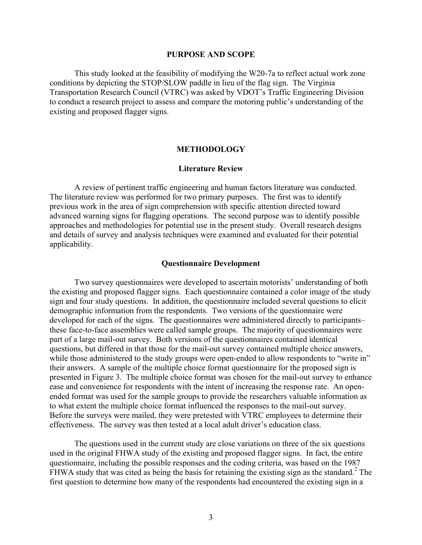#### **PURPOSE AND SCOPE**

This study looked at the feasibility of modifying the W20-7a to reflect actual work zone conditions by depicting the STOP/SLOW paddle in lieu of the flag sign. The Virginia Transportation Research Council (VTRC) was asked by VDOT's Traffic Engineering Division to conduct a research project to assess and compare the motoring public's understanding of the existing and proposed flagger signs.

## **METHODOLOGY**

## **Literature Review**

 A review of pertinent traffic engineering and human factors literature was conducted. The literature review was performed for two primary purposes. The first was to identify previous work in the area of sign comprehension with specific attention directed toward advanced warning signs for flagging operations. The second purpose was to identify possible approaches and methodologies for potential use in the present study. Overall research designs and details of survey and analysis techniques were examined and evaluated for their potential applicability.

#### **Questionnaire Development**

Two survey questionnaires were developed to ascertain motorists' understanding of both the existing and proposed flagger signs. Each questionnaire contained a color image of the study sign and four study questions. In addition, the questionnaire included several questions to elicit demographic information from the respondents. Two versions of the questionnaire were developed for each of the signs. The questionnaires were administered directly to participants these face-to-face assemblies were called sample groups. The majority of questionnaires were part of a large mail-out survey. Both versions of the questionnaires contained identical questions, but differed in that those for the mail-out survey contained multiple choice answers, while those administered to the study groups were open-ended to allow respondents to "write in" their answers. A sample of the multiple choice format questionnaire for the proposed sign is presented in Figure 3. The multiple choice format was chosen for the mail-out survey to enhance ease and convenience for respondents with the intent of increasing the response rate. An openended format was used for the sample groups to provide the researchers valuable information as to what extent the multiple choice format influenced the responses to the mail-out survey. Before the surveys were mailed, they were pretested with VTRC employees to determine their effectiveness. The survey was then tested at a local adult driver's education class.

The questions used in the current study are close variations on three of the six questions used in the original FHWA study of the existing and proposed flagger signs. In fact, the entire questionnaire, including the possible responses and the coding criteria, was based on the 1987 FHWA study that was cited as being the basis for retaining the existing sign as the standard.<sup>2</sup> The first question to determine how many of the respondents had encountered the existing sign in a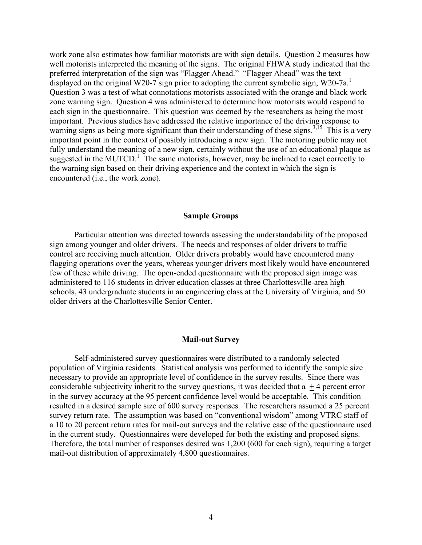work zone also estimates how familiar motorists are with sign details. Question 2 measures how well motorists interpreted the meaning of the signs. The original FHWA study indicated that the preferred interpretation of the sign was "Flagger Ahead." "Flagger Ahead" was the text displayed on the original W20-7 sign prior to adopting the current symbolic sign, W20-7a.<sup>1</sup> Question 3 was a test of what connotations motorists associated with the orange and black work zone warning sign. Question 4 was administered to determine how motorists would respond to each sign in the questionnaire. This question was deemed by the researchers as being the most important. Previous studies have addressed the relative importance of the driving response to warning signs as being more significant than their understanding of these signs.<sup>3,15</sup> This is a very important point in the context of possibly introducing a new sign. The motoring public may not fully understand the meaning of a new sign, certainly without the use of an educational plaque as suggested in the MUTCD.<sup>1</sup> The same motorists, however, may be inclined to react correctly to the warning sign based on their driving experience and the context in which the sign is encountered (i.e., the work zone).

#### **Sample Groups**

 Particular attention was directed towards assessing the understandability of the proposed sign among younger and older drivers. The needs and responses of older drivers to traffic control are receiving much attention. Older drivers probably would have encountered many flagging operations over the years, whereas younger drivers most likely would have encountered few of these while driving. The open-ended questionnaire with the proposed sign image was administered to 116 students in driver education classes at three Charlottesville-area high schools, 43 undergraduate students in an engineering class at the University of Virginia, and 50 older drivers at the Charlottesville Senior Center.

### **Mail-out Survey**

 Self-administered survey questionnaires were distributed to a randomly selected population of Virginia residents. Statistical analysis was performed to identify the sample size necessary to provide an appropriate level of confidence in the survey results. Since there was considerable subjectivity inherit to the survey questions, it was decided that  $a + 4$  percent error in the survey accuracy at the 95 percent confidence level would be acceptable. This condition resulted in a desired sample size of 600 survey responses. The researchers assumed a 25 percent survey return rate. The assumption was based on "conventional wisdom" among VTRC staff of a 10 to 20 percent return rates for mail-out surveys and the relative ease of the questionnaire used in the current study. Questionnaires were developed for both the existing and proposed signs. Therefore, the total number of responses desired was 1,200 (600 for each sign), requiring a target mail-out distribution of approximately 4,800 questionnaires.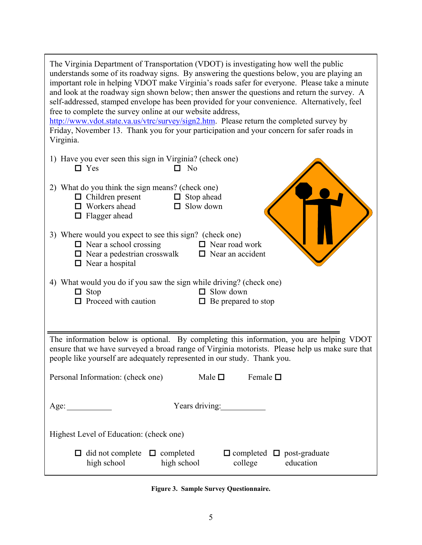| The Virginia Department of Transportation (VDOT) is investigating how well the public<br>understands some of its roadway signs. By answering the questions below, you are playing an<br>important role in helping VDOT make Virginia's roads safer for everyone. Please take a minute<br>and look at the roadway sign shown below; then answer the questions and return the survey. A<br>self-addressed, stamped envelope has been provided for your convenience. Alternatively, feel<br>free to complete the survey online at our website address,<br>http://www.vdot.state.va.us/vtrc/survey/sign2.htm. Please return the completed survey by<br>Friday, November 13. Thank you for your participation and your concern for safer roads in<br>Virginia. |
|-----------------------------------------------------------------------------------------------------------------------------------------------------------------------------------------------------------------------------------------------------------------------------------------------------------------------------------------------------------------------------------------------------------------------------------------------------------------------------------------------------------------------------------------------------------------------------------------------------------------------------------------------------------------------------------------------------------------------------------------------------------|
| 1) Have you ever seen this sign in Virginia? (check one)<br>$\Box$ Yes<br>$\Box$ No                                                                                                                                                                                                                                                                                                                                                                                                                                                                                                                                                                                                                                                                       |
| 2) What do you think the sign means? (check one)<br>$\Box$ Children present<br>$\Box$ Stop ahead<br>$\Box$ Workers ahead<br>$\Box$ Slow down<br>$\Box$ Flagger ahead                                                                                                                                                                                                                                                                                                                                                                                                                                                                                                                                                                                      |
| 3) Where would you expect to see this sign? (check one)<br>$\Box$ Near a school crossing<br>$\Box$ Near road work<br>$\Box$ Near a pedestrian crosswalk<br>$\Box$ Near an accident<br>$\Box$ Near a hospital                                                                                                                                                                                                                                                                                                                                                                                                                                                                                                                                              |
| 4) What would you do if you saw the sign while driving? (check one)<br>$\Box$ Slow down<br>$\Box$ Stop<br>$\Box$ Proceed with caution<br>$\Box$ Be prepared to stop                                                                                                                                                                                                                                                                                                                                                                                                                                                                                                                                                                                       |
|                                                                                                                                                                                                                                                                                                                                                                                                                                                                                                                                                                                                                                                                                                                                                           |
| The information below is optional. By completing this information, you are helping VDOT<br>ensure that we have surveyed a broad range of Virginia motorists. Please help us make sure that<br>people like yourself are adequately represented in our study. Thank you.                                                                                                                                                                                                                                                                                                                                                                                                                                                                                    |
| Personal Information: (check one)<br>Female $\Box$<br>Male $\Box$                                                                                                                                                                                                                                                                                                                                                                                                                                                                                                                                                                                                                                                                                         |
| Years driving:<br>Age:                                                                                                                                                                                                                                                                                                                                                                                                                                                                                                                                                                                                                                                                                                                                    |
| Highest Level of Education: (check one)                                                                                                                                                                                                                                                                                                                                                                                                                                                                                                                                                                                                                                                                                                                   |
| $\Box$ did not complete<br>$\Box$ completed<br>$\Box$ completed $\Box$ post-graduate<br>high school<br>high school<br>education<br>college                                                                                                                                                                                                                                                                                                                                                                                                                                                                                                                                                                                                                |

**Figure 3. Sample Survey Questionnaire.**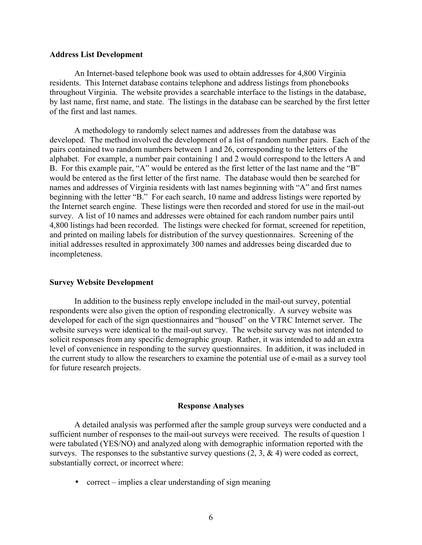## **Address List Development**

 An Internet-based telephone book was used to obtain addresses for 4,800 Virginia residents. This Internet database contains telephone and address listings from phonebooks throughout Virginia. The website provides a searchable interface to the listings in the database, by last name, first name, and state. The listings in the database can be searched by the first letter of the first and last names.

A methodology to randomly select names and addresses from the database was developed. The method involved the development of a list of random number pairs. Each of the pairs contained two random numbers between 1 and 26, corresponding to the letters of the alphabet. For example, a number pair containing 1 and 2 would correspond to the letters A and B. For this example pair, "A" would be entered as the first letter of the last name and the "B" would be entered as the first letter of the first name. The database would then be searched for names and addresses of Virginia residents with last names beginning with "A" and first names beginning with the letter "B." For each search, 10 name and address listings were reported by the Internet search engine. These listings were then recorded and stored for use in the mail-out survey. A list of 10 names and addresses were obtained for each random number pairs until 4,800 listings had been recorded. The listings were checked for format, screened for repetition, and printed on mailing labels for distribution of the survey questionnaires. Screening of the initial addresses resulted in approximately 300 names and addresses being discarded due to incompleteness.

### **Survey Website Development**

In addition to the business reply envelope included in the mail-out survey, potential respondents were also given the option of responding electronically. A survey website was developed for each of the sign questionnaires and "housed" on the VTRC Internet server. The website surveys were identical to the mail-out survey. The website survey was not intended to solicit responses from any specific demographic group. Rather, it was intended to add an extra level of convenience in responding to the survey questionnaires. In addition, it was included in the current study to allow the researchers to examine the potential use of e-mail as a survey tool for future research projects.

## **Response Analyses**

A detailed analysis was performed after the sample group surveys were conducted and a sufficient number of responses to the mail-out surveys were received. The results of question 1 were tabulated (YES/NO) and analyzed along with demographic information reported with the surveys. The responses to the substantive survey questions  $(2, 3, \& 4)$  were coded as correct, substantially correct, or incorrect where:

• correct – implies a clear understanding of sign meaning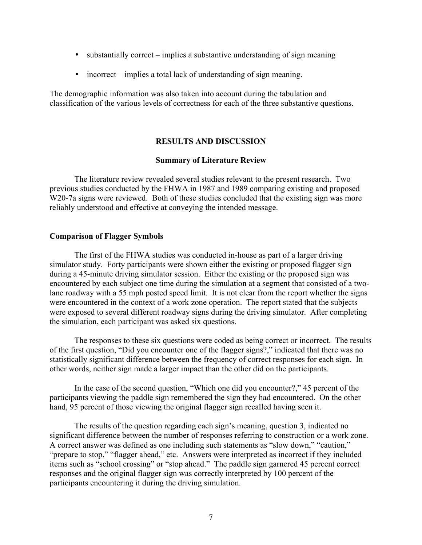- substantially correct  $\overline{-}$  implies a substantive understanding of sign meaning
- $\bullet$  incorrect implies a total lack of understanding of sign meaning.

The demographic information was also taken into account during the tabulation and classification of the various levels of correctness for each of the three substantive questions.

# **RESULTS AND DISCUSSION**

## **Summary of Literature Review**

 The literature review revealed several studies relevant to the present research. Two previous studies conducted by the FHWA in 1987 and 1989 comparing existing and proposed W<sub>20</sub>-7a signs were reviewed. Both of these studies concluded that the existing sign was more reliably understood and effective at conveying the intended message.

## **Comparison of Flagger Symbols**

The first of the FHWA studies was conducted in-house as part of a larger driving simulator study. Forty participants were shown either the existing or proposed flagger sign during a 45-minute driving simulator session. Either the existing or the proposed sign was encountered by each subject one time during the simulation at a segment that consisted of a twolane roadway with a 55 mph posted speed limit. It is not clear from the report whether the signs were encountered in the context of a work zone operation. The report stated that the subjects were exposed to several different roadway signs during the driving simulator. After completing the simulation, each participant was asked six questions.

The responses to these six questions were coded as being correct or incorrect. The results of the first question, "Did you encounter one of the flagger signs?," indicated that there was no statistically significant difference between the frequency of correct responses for each sign. In other words, neither sign made a larger impact than the other did on the participants.

In the case of the second question, "Which one did you encounter?," 45 percent of the participants viewing the paddle sign remembered the sign they had encountered. On the other hand, 95 percent of those viewing the original flagger sign recalled having seen it.

The results of the question regarding each sign's meaning, question 3, indicated no significant difference between the number of responses referring to construction or a work zone. A correct answer was defined as one including such statements as "slow down," "caution," "prepare to stop," "flagger ahead," etc. Answers were interpreted as incorrect if they included items such as "school crossing" or "stop ahead." The paddle sign garnered 45 percent correct responses and the original flagger sign was correctly interpreted by 100 percent of the participants encountering it during the driving simulation.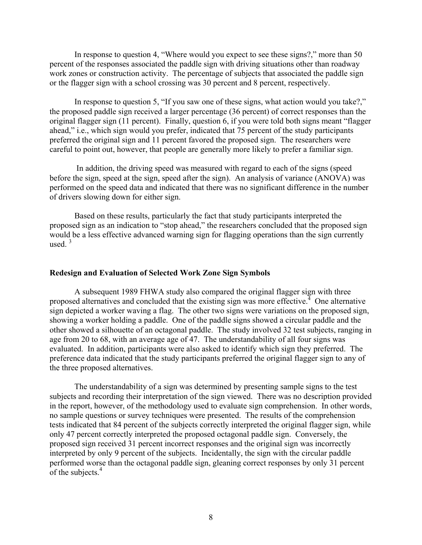In response to question 4, "Where would you expect to see these signs?," more than 50 percent of the responses associated the paddle sign with driving situations other than roadway work zones or construction activity. The percentage of subjects that associated the paddle sign or the flagger sign with a school crossing was 30 percent and 8 percent, respectively.

In response to question 5, "If you saw one of these signs, what action would you take?," the proposed paddle sign received a larger percentage (36 percent) of correct responses than the original flagger sign  $(11$  percent). Finally, question 6, if you were told both signs meant "flagger" ahead," i.e., which sign would you prefer, indicated that 75 percent of the study participants preferred the original sign and 11 percent favored the proposed sign. The researchers were careful to point out, however, that people are generally more likely to prefer a familiar sign.

 In addition, the driving speed was measured with regard to each of the signs (speed before the sign, speed at the sign, speed after the sign). An analysis of variance (ANOVA) was performed on the speed data and indicated that there was no significant difference in the number of drivers slowing down for either sign.

Based on these results, particularly the fact that study participants interpreted the proposed sign as an indication to "stop ahead," the researchers concluded that the proposed sign would be a less effective advanced warning sign for flagging operations than the sign currently used.  $3$ 

## **Redesign and Evaluation of Selected Work Zone Sign Symbols**

 A subsequent 1989 FHWA study also compared the original flagger sign with three proposed alternatives and concluded that the existing sign was more effective.<sup> $4$ </sup> One alternative sign depicted a worker waving a flag. The other two signs were variations on the proposed sign, showing a worker holding a paddle. One of the paddle signs showed a circular paddle and the other showed a silhouette of an octagonal paddle. The study involved 32 test subjects, ranging in age from 20 to 68, with an average age of 47. The understandability of all four signs was evaluated. In addition, participants were also asked to identify which sign they preferred. The preference data indicated that the study participants preferred the original flagger sign to any of the three proposed alternatives.

The understandability of a sign was determined by presenting sample signs to the test subjects and recording their interpretation of the sign viewed. There was no description provided in the report, however, of the methodology used to evaluate sign comprehension. In other words, no sample questions or survey techniques were presented. The results of the comprehension tests indicated that 84 percent of the subjects correctly interpreted the original flagger sign, while only 47 percent correctly interpreted the proposed octagonal paddle sign. Conversely, the proposed sign received 31 percent incorrect responses and the original sign was incorrectly interpreted by only 9 percent of the subjects. Incidentally, the sign with the circular paddle performed worse than the octagonal paddle sign, gleaning correct responses by only 31 percent of the subjects.<sup>4</sup>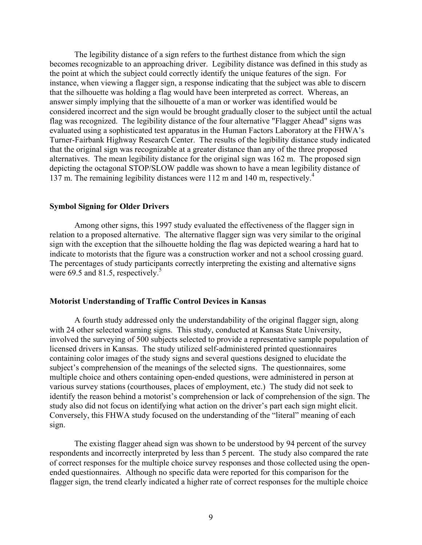The legibility distance of a sign refers to the furthest distance from which the sign becomes recognizable to an approaching driver. Legibility distance was defined in this study as the point at which the subject could correctly identify the unique features of the sign. For instance, when viewing a flagger sign, a response indicating that the subject was able to discern that the silhouette was holding a flag would have been interpreted as correct. Whereas, an answer simply implying that the silhouette of a man or worker was identified would be considered incorrect and the sign would be brought gradually closer to the subject until the actual flag was recognized. The legibility distance of the four alternative "Flagger Ahead" signs was evaluated using a sophisticated test apparatus in the Human Factors Laboratory at the FHWA's Turner-Fairbank Highway Research Center. The results of the legibility distance study indicated that the original sign was recognizable at a greater distance than any of the three proposed alternatives. The mean legibility distance for the original sign was 162 m. The proposed sign depicting the octagonal STOP/SLOW paddle was shown to have a mean legibility distance of 137 m. The remaining legibility distances were 112 m and 140 m, respectively.<sup>4</sup>

### **Symbol Signing for Older Drivers**

Among other signs, this 1997 study evaluated the effectiveness of the flagger sign in relation to a proposed alternative. The alternative flagger sign was very similar to the original sign with the exception that the silhouette holding the flag was depicted wearing a hard hat to indicate to motorists that the figure was a construction worker and not a school crossing guard. The percentages of study participants correctly interpreting the existing and alternative signs were 69.5 and 81.5, respectively.<sup>5</sup>

#### **Motorist Understanding of Traffic Control Devices in Kansas**

A fourth study addressed only the understandability of the original flagger sign, along with 24 other selected warning signs. This study, conducted at Kansas State University, involved the surveying of 500 subjects selected to provide a representative sample population of licensed drivers in Kansas. The study utilized self-administered printed questionnaires containing color images of the study signs and several questions designed to elucidate the subject's comprehension of the meanings of the selected signs. The questionnaires, some multiple choice and others containing open-ended questions, were administered in person at various survey stations (courthouses, places of employment, etc.) The study did not seek to identify the reason behind a motorist's comprehension or lack of comprehension of the sign. The study also did not focus on identifying what action on the driver's part each sign might elicit. Conversely, this FHWA study focused on the understanding of the "literal" meaning of each sign.

The existing flagger ahead sign was shown to be understood by 94 percent of the survey respondents and incorrectly interpreted by less than 5 percent. The study also compared the rate of correct responses for the multiple choice survey responses and those collected using the openended questionnaires. Although no specific data were reported for this comparison for the flagger sign, the trend clearly indicated a higher rate of correct responses for the multiple choice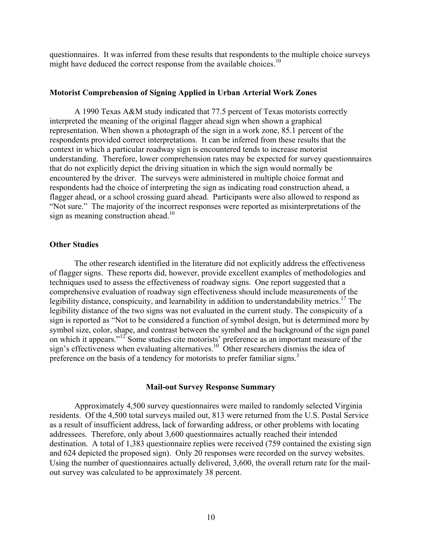questionnaires. It was inferred from these results that respondents to the multiple choice surveys might have deduced the correct response from the available choices.<sup>10</sup>

## **Motorist Comprehension of Signing Applied in Urban Arterial Work Zones**

A 1990 Texas A&M study indicated that 77.5 percent of Texas motorists correctly interpreted the meaning of the original flagger ahead sign when shown a graphical representation. When shown a photograph of the sign in a work zone, 85.1 percent of the respondents provided correct interpretations. It can be inferred from these results that the context in which a particular roadway sign is encountered tends to increase motorist understanding. Therefore, lower comprehension rates may be expected for survey questionnaires that do not explicitly depict the driving situation in which the sign would normally be encountered by the driver. The surveys were administered in multiple choice format and respondents had the choice of interpreting the sign as indicating road construction ahead, a flagger ahead, or a school crossing guard ahead. Participants were also allowed to respond as "Not sure." The majority of the incorrect responses were reported as misinterpretations of the sign as meaning construction ahead.<sup>16</sup>

### **Other Studies**

The other research identified in the literature did not explicitly address the effectiveness of flagger signs. These reports did, however, provide excellent examples of methodologies and techniques used to assess the effectiveness of roadway signs. One report suggested that a comprehensive evaluation of roadway sign effectiveness should include measurements of the legibility distance, conspicuity, and learnability in addition to understandability metrics.<sup>17</sup> The legibility distance of the two signs was not evaluated in the current study. The conspicuity of a sign is reported as "Not to be considered a function of symbol design, but is determined more by symbol size, color, shape, and contrast between the symbol and the background of the sign panel on which it appears."<sup>12</sup> Some studies cite motorists' preference as an important measure of the sign's effectiveness when evaluating alternatives.<sup>10</sup> Other researchers dismiss the idea of preference on the basis of a tendency for motorists to prefer familiar signs.<sup>3</sup>

#### **Mail-out Survey Response Summary**

Approximately 4,500 survey questionnaires were mailed to randomly selected Virginia residents. Of the 4,500 total surveys mailed out, 813 were returned from the U.S. Postal Service as a result of insufficient address, lack of forwarding address, or other problems with locating addressees. Therefore, only about 3,600 questionnaires actually reached their intended destination. A total of 1,383 questionnaire replies were received (759 contained the existing sign and 624 depicted the proposed sign). Only 20 responses were recorded on the survey websites. Using the number of questionnaires actually delivered, 3,600, the overall return rate for the mailout survey was calculated to be approximately 38 percent.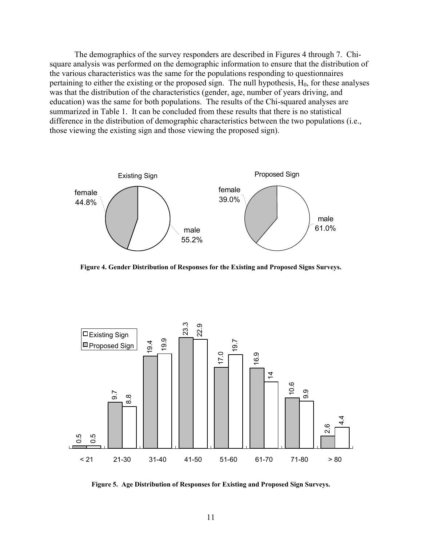The demographics of the survey responders are described in Figures 4 through 7. Chisquare analysis was performed on the demographic information to ensure that the distribution of the various characteristics was the same for the populations responding to questionnaires pertaining to either the existing or the proposed sign. The null hypothesis,  $H_0$ , for these analyses was that the distribution of the characteristics (gender, age, number of years driving, and education) was the same for both populations. The results of the Chi-squared analyses are summarized in Table 1. It can be concluded from these results that there is no statistical difference in the distribution of demographic characteristics between the two populations (i.e., those viewing the existing sign and those viewing the proposed sign).



**Figure 4. Gender Distribution of Responses for the Existing and Proposed Signs Surveys.** 



**Figure 5. Age Distribution of Responses for Existing and Proposed Sign Surveys.**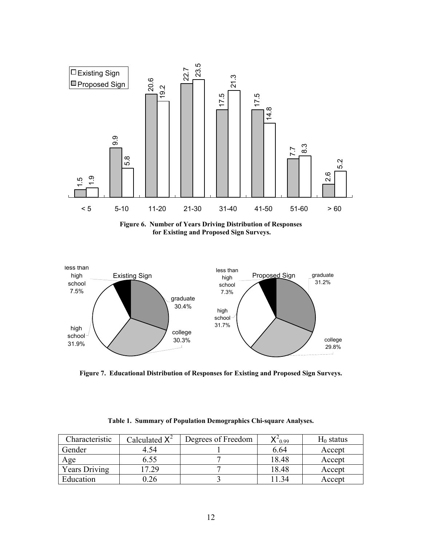

**Figure 6. Number of Years Driving Distribution of Responses for Existing and Proposed Sign Surveys.** 



**Figure 7. Educational Distribution of Responses for Existing and Proposed Sign Surveys.** 

| Characteristic       | Calculated $X^2$ | Degrees of Freedom | $\Lambda$ 0.99 | $H_0$ status |
|----------------------|------------------|--------------------|----------------|--------------|
| Gender               | 4.54             |                    | 6.64           | Accept       |
| Age                  | 6.55             |                    | 18.48          | Accept       |
| <b>Years Driving</b> | 7.29             |                    | 18.48          | Accept       |
| Education            | ).26             |                    | 1 34           | Accept       |

**Table 1. Summary of Population Demographics Chi-square Analyses.**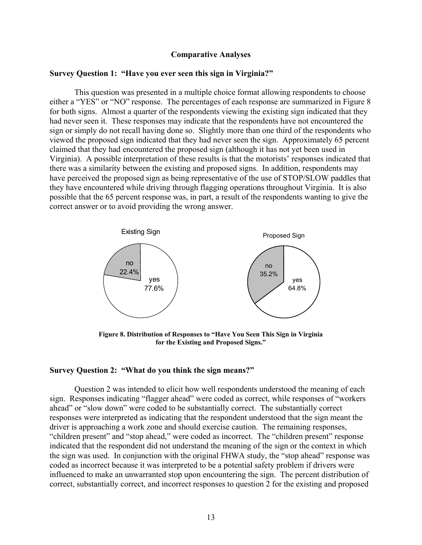### **Comparative Analyses**

## **Survey Question 1: "Have you ever seen this sign in Virginia?"**

 This question was presented in a multiple choice format allowing respondents to choose either a "YES" or "NO" response. The percentages of each response are summarized in Figure 8 for both signs. Almost a quarter of the respondents viewing the existing sign indicated that they had never seen it. These responses may indicate that the respondents have not encountered the sign or simply do not recall having done so. Slightly more than one third of the respondents who viewed the proposed sign indicated that they had never seen the sign. Approximately 65 percent claimed that they had encountered the proposed sign (although it has not yet been used in Virginia). A possible interpretation of these results is that the motorists' responses indicated that there was a similarity between the existing and proposed signs. In addition, respondents may have perceived the proposed sign as being representative of the use of STOP/SLOW paddles that they have encountered while driving through flagging operations throughout Virginia. It is also possible that the 65 percent response was, in part, a result of the respondents wanting to give the correct answer or to avoid providing the wrong answer.



**Figure 8. Distribution of Responses to "Have You Seen This Sign in Virginia"** for the Existing and Proposed Signs."

#### **Survey Question 2: "What do you think the sign means?"**

 Question 2 was intended to elicit how well respondents understood the meaning of each sign. Responses indicating "flagger ahead" were coded as correct, while responses of "workers" ahead" or "slow down" were coded to be substantially correct. The substantially correct responses were interpreted as indicating that the respondent understood that the sign meant the driver is approaching a work zone and should exercise caution. The remaining responses, "children present" and "stop ahead," were coded as incorrect. The "children present" response indicated that the respondent did not understand the meaning of the sign or the context in which the sign was used. In conjunction with the original FHWA study, the "stop ahead" response was coded as incorrect because it was interpreted to be a potential safety problem if drivers were influenced to make an unwarranted stop upon encountering the sign. The percent distribution of correct, substantially correct, and incorrect responses to question 2 for the existing and proposed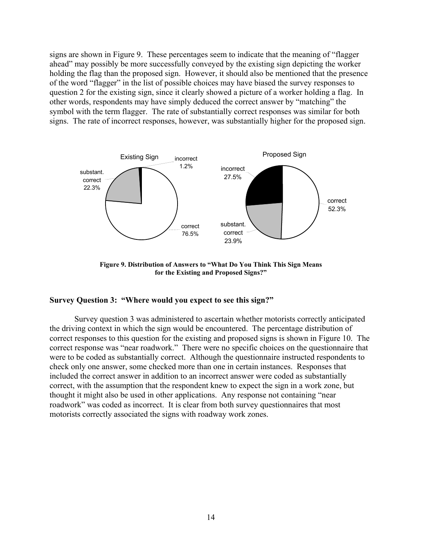signs are shown in Figure 9. These percentages seem to indicate that the meaning of "flagger" ahead" may possibly be more successfully conveyed by the existing sign depicting the worker holding the flag than the proposed sign. However, it should also be mentioned that the presence of the word "flagger" in the list of possible choices may have biased the survey responses to question 2 for the existing sign, since it clearly showed a picture of a worker holding a flag. In other words, respondents may have simply deduced the correct answer by "matching" the symbol with the term flagger. The rate of substantially correct responses was similar for both signs. The rate of incorrect responses, however, was substantially higher for the proposed sign.



Figure 9. Distribution of Answers to "What Do You Think This Sign Means for the Existing and Proposed Signs?"

# Survey Question 3: "Where would you expect to see this sign?"

 Survey question 3 was administered to ascertain whether motorists correctly anticipated the driving context in which the sign would be encountered. The percentage distribution of correct responses to this question for the existing and proposed signs is shown in Figure 10. The correct response was "near roadwork." There were no specific choices on the questionnaire that were to be coded as substantially correct. Although the questionnaire instructed respondents to check only one answer, some checked more than one in certain instances. Responses that included the correct answer in addition to an incorrect answer were coded as substantially correct, with the assumption that the respondent knew to expect the sign in a work zone, but thought it might also be used in other applications. Any response not containing "near" roadwork" was coded as incorrect. It is clear from both survey questionnaires that most motorists correctly associated the signs with roadway work zones.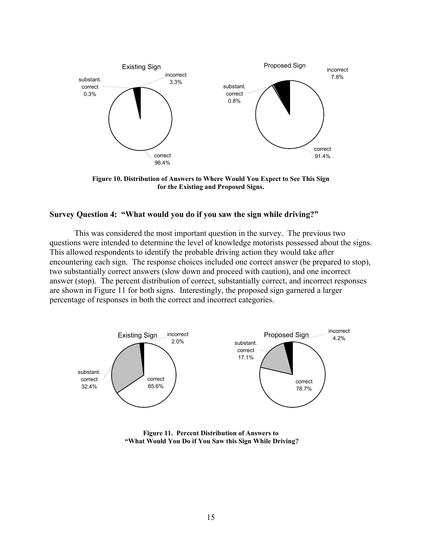

**Figure 10. Distribution of Answers to Where Would You Expect to See This Sign for the Existing and Proposed Signs.** 

## **Survey Question 4: "What would you do if you saw the sign while driving?"**

This was considered the most important question in the survey. The previous two questions were intended to determine the level of knowledge motorists possessed about the signs. This allowed respondents to identify the probable driving action they would take after encountering each sign. The response choices included one correct answer (be prepared to stop), two substantially correct answers (slow down and proceed with caution), and one incorrect answer (stop). The percent distribution of correct, substantially correct, and incorrect responses are shown in Figure 11 for both signs. Interestingly, the proposed sign garnered a larger percentage of responses in both the correct and incorrect categories.



**Figure 11. Percent Distribution of Answers to ìWhat Would You Do if You Saw this Sign While Driving?**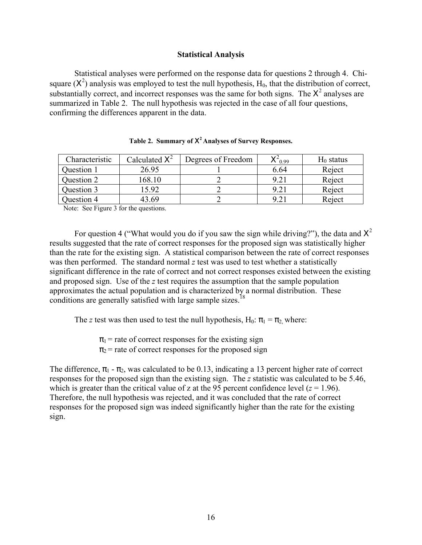## **Statistical Analysis**

 Statistical analyses were performed on the response data for questions 2 through 4. Chisquare  $(X^2)$  analysis was employed to test the null hypothesis,  $H_0$ , that the distribution of correct, substantially correct, and incorrect responses was the same for both signs. The  $X^2$  analyses are summarized in Table 2. The null hypothesis was rejected in the case of all four questions, confirming the differences apparent in the data.

| Characteristic | Calculated $X^2$ | Degrees of Freedom | $X^{\sim}$ 0.99 | $H_0$ status |
|----------------|------------------|--------------------|-----------------|--------------|
| Question 1     | 26.95            |                    | 6.64            | Reject       |
| Question 2     | 168.10           |                    | 9.21            | Reject       |
| Question 3     | 5.92             |                    | 9.21            | Reject       |
| Question 4     | 43 69            |                    | 9.21            | Reject       |

|  | Table 2. Summary of $X^2$ Analyses of Survey Responses. |  |  |  |
|--|---------------------------------------------------------|--|--|--|
|--|---------------------------------------------------------|--|--|--|

Note: See Figure 3 for the questions.

For question 4 ("What would you do if you saw the sign while driving?"), the data and  $X^2$ results suggested that the rate of correct responses for the proposed sign was statistically higher than the rate for the existing sign. A statistical comparison between the rate of correct responses was then performed. The standard normal *z* test was used to test whether a statistically significant difference in the rate of correct and not correct responses existed between the existing and proposed sign. Use of the *z* test requires the assumption that the sample population approximates the actual population and is characterized by a normal distribution. These conditions are generally satisfied with large sample sizes.<sup>18</sup>

The *z* test was then used to test the null hypothesis, H<sub>0</sub>:  $\pi_1 = \pi_2$  where:

 $\pi_1$  = rate of correct responses for the existing sign

 $\pi_2$  = rate of correct responses for the proposed sign

The difference,  $\pi_1$  -  $\pi_2$ , was calculated to be 0.13, indicating a 13 percent higher rate of correct responses for the proposed sign than the existing sign. The *z* statistic was calculated to be 5.46, which is greater than the critical value of z at the 95 percent confidence level  $(z = 1.96)$ . Therefore, the null hypothesis was rejected, and it was concluded that the rate of correct responses for the proposed sign was indeed significantly higher than the rate for the existing sign.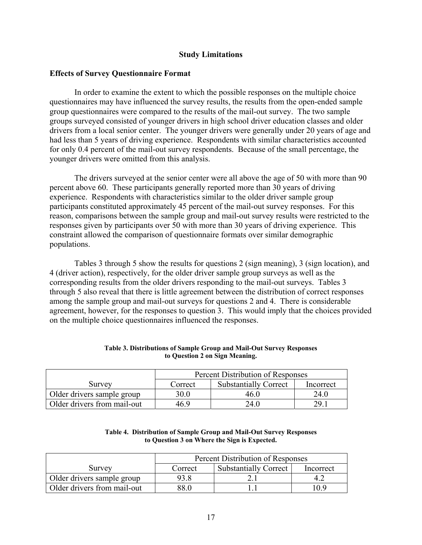## **Study Limitations**

## **Effects of Survey Questionnaire Format**

 In order to examine the extent to which the possible responses on the multiple choice questionnaires may have influenced the survey results, the results from the open-ended sample group questionnaires were compared to the results of the mail-out survey. The two sample groups surveyed consisted of younger drivers in high school driver education classes and older drivers from a local senior center. The younger drivers were generally under 20 years of age and had less than 5 years of driving experience. Respondents with similar characteristics accounted for only 0.4 percent of the mail-out survey respondents. Because of the small percentage, the younger drivers were omitted from this analysis.

The drivers surveyed at the senior center were all above the age of 50 with more than 90 percent above 60. These participants generally reported more than 30 years of driving experience. Respondents with characteristics similar to the older driver sample group participants constituted approximately 45 percent of the mail-out survey responses. For this reason, comparisons between the sample group and mail-out survey results were restricted to the responses given by participants over 50 with more than 30 years of driving experience. This constraint allowed the comparison of questionnaire formats over similar demographic populations.

Tables 3 through 5 show the results for questions 2 (sign meaning), 3 (sign location), and 4 (driver action), respectively, for the older driver sample group surveys as well as the corresponding results from the older drivers responding to the mail-out surveys. Tables 3 through 5 also reveal that there is little agreement between the distribution of correct responses among the sample group and mail-out surveys for questions 2 and 4. There is considerable agreement, however, for the responses to question 3. This would imply that the choices provided on the multiple choice questionnaires influenced the responses.

|                             | Percent Distribution of Responses |                              |           |
|-----------------------------|-----------------------------------|------------------------------|-----------|
| Survey                      | Correct                           | <b>Substantially Correct</b> | Incorrect |
| Older drivers sample group  | 30.0                              | 46 ()                        | 24.0      |
| Older drivers from mail-out | 46 9                              | 24.0                         | 29. L     |

### **Table 3. Distributions of Sample Group and Mail-Out Survey Responses to Question 2 on Sign Meaning.**

| Table 4. Distribution of Sample Group and Mail-Out Survey Responses |
|---------------------------------------------------------------------|
| to Question 3 on Where the Sign is Expected.                        |

|                             | Percent Distribution of Responses |                              |           |
|-----------------------------|-----------------------------------|------------------------------|-----------|
| Survey                      | Correct                           | <b>Substantially Correct</b> | Incorrect |
| Older drivers sample group  | 93 8                              |                              |           |
| Older drivers from mail-out | 88 O                              |                              | 09        |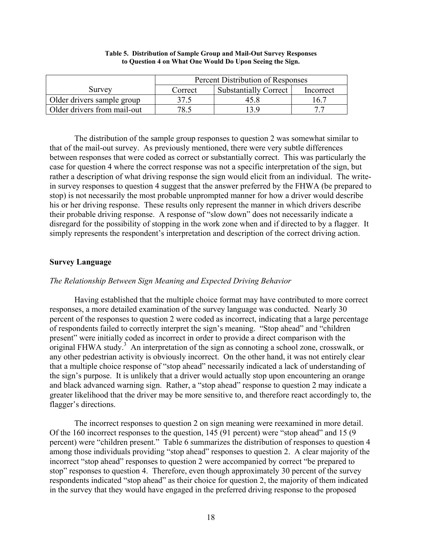|                             | Percent Distribution of Responses |                              |           |
|-----------------------------|-----------------------------------|------------------------------|-----------|
| Survey                      | Correct                           | <b>Substantially Correct</b> | Incorrect |
| Older drivers sample group  |                                   | 47 X                         | 167       |
| Older drivers from mail-out | 78.5                              | 13 Q                         |           |

#### **Table 5. Distribution of Sample Group and Mail-Out Survey Responses to Question 4 on What One Would Do Upon Seeing the Sign.**

 The distribution of the sample group responses to question 2 was somewhat similar to that of the mail-out survey. As previously mentioned, there were very subtle differences between responses that were coded as correct or substantially correct. This was particularly the case for question 4 where the correct response was not a specific interpretation of the sign, but rather a description of what driving response the sign would elicit from an individual. The writein survey responses to question 4 suggest that the answer preferred by the FHWA (be prepared to stop) is not necessarily the most probable unprompted manner for how a driver would describe his or her driving response. These results only represent the manner in which drivers describe their probable driving response. A response of "slow down" does not necessarily indicate a disregard for the possibility of stopping in the work zone when and if directed to by a flagger. It simply represents the respondent's interpretation and description of the correct driving action.

# **Survey Language**

# *The Relationship Between Sign Meaning and Expected Driving Behavior*

 Having established that the multiple choice format may have contributed to more correct responses, a more detailed examination of the survey language was conducted. Nearly 30 percent of the responses to question 2 were coded as incorrect, indicating that a large percentage of respondents failed to correctly interpret the sign's meaning. "Stop ahead" and "children present" were initially coded as incorrect in order to provide a direct comparison with the original FHWA study.<sup>3</sup> An interpretation of the sign as connoting a school zone, crosswalk, or any other pedestrian activity is obviously incorrect. On the other hand, it was not entirely clear that a multiple choice response of "stop ahead" necessarily indicated a lack of understanding of the sign's purpose. It is unlikely that a driver would actually stop upon encountering an orange and black advanced warning sign. Rather, a "stop ahead" response to question 2 may indicate a greater likelihood that the driver may be more sensitive to, and therefore react accordingly to, the flagger's directions.

 The incorrect responses to question 2 on sign meaning were reexamined in more detail. Of the 160 incorrect responses to the question,  $145 (91$  percent) were "stop ahead" and 15 (9) percent) were "children present." Table 6 summarizes the distribution of responses to question 4 among those individuals providing "stop ahead" responses to question 2. A clear majority of the incorrect "stop ahead" responses to question 2 were accompanied by correct "be prepared to stop" responses to question 4. Therefore, even though approximately 30 percent of the survey respondents indicated "stop ahead" as their choice for question 2, the majority of them indicated in the survey that they would have engaged in the preferred driving response to the proposed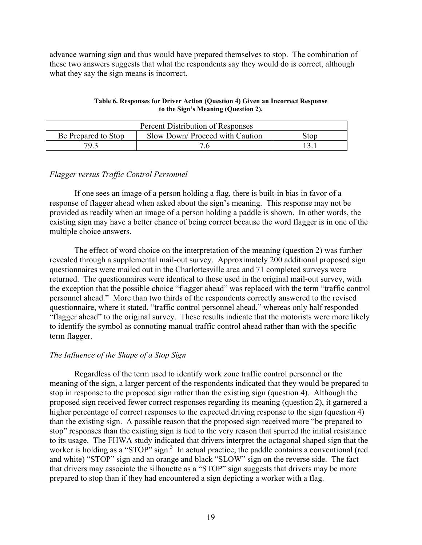advance warning sign and thus would have prepared themselves to stop. The combination of these two answers suggests that what the respondents say they would do is correct, although what they say the sign means is incorrect.

| Table 6. Responses for Driver Action (Question 4) Given an Incorrect Response |
|-------------------------------------------------------------------------------|
| to the Sign's Meaning (Question 2).                                           |

| Percent Distribution of Responses                              |  |  |  |
|----------------------------------------------------------------|--|--|--|
| Slow Down/ Proceed with Caution<br>Be Prepared to Stop<br>Stop |  |  |  |
| 79 3                                                           |  |  |  |

## *Flagger versus Traffic Control Personnel*

If one sees an image of a person holding a flag, there is built-in bias in favor of a response of flagger ahead when asked about the sign's meaning. This response may not be provided as readily when an image of a person holding a paddle is shown. In other words, the existing sign may have a better chance of being correct because the word flagger is in one of the multiple choice answers.

The effect of word choice on the interpretation of the meaning (question 2) was further revealed through a supplemental mail-out survey. Approximately 200 additional proposed sign questionnaires were mailed out in the Charlottesville area and 71 completed surveys were returned. The questionnaires were identical to those used in the original mail-out survey, with the exception that the possible choice "flagger ahead" was replaced with the term "traffic control" personnel ahead." More than two thirds of the respondents correctly answered to the revised questionnaire, where it stated, "traffic control personnel ahead," whereas only half responded "flagger ahead" to the original survey. These results indicate that the motorists were more likely to identify the symbol as connoting manual traffic control ahead rather than with the specific term flagger.

# *The Influence of the Shape of a Stop Sign*

Regardless of the term used to identify work zone traffic control personnel or the meaning of the sign, a larger percent of the respondents indicated that they would be prepared to stop in response to the proposed sign rather than the existing sign (question 4). Although the proposed sign received fewer correct responses regarding its meaning (question 2), it garnered a higher percentage of correct responses to the expected driving response to the sign (question 4) than the existing sign. A possible reason that the proposed sign received more "be prepared to stop" responses than the existing sign is tied to the very reason that spurred the initial resistance to its usage. The FHWA study indicated that drivers interpret the octagonal shaped sign that the worker is holding as a "STOP" sign. $3$  In actual practice, the paddle contains a conventional (red and white) "STOP" sign and an orange and black "SLOW" sign on the reverse side. The fact that drivers may associate the silhouette as a "STOP" sign suggests that drivers may be more prepared to stop than if they had encountered a sign depicting a worker with a flag.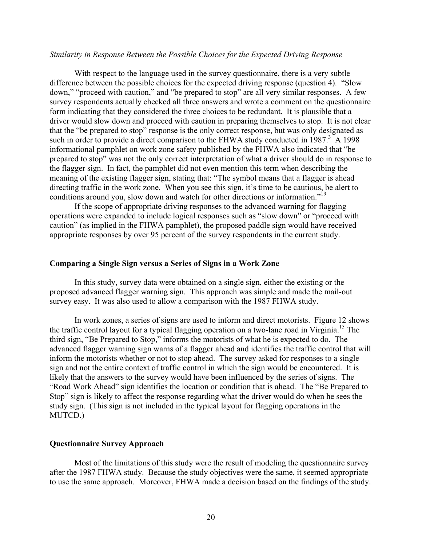### *Similarity in Response Between the Possible Choices for the Expected Driving Response*

With respect to the language used in the survey questionnaire, there is a very subtle difference between the possible choices for the expected driving response (question 4).  $\degree$ Slow down," "proceed with caution," and "be prepared to stop" are all very similar responses. A few survey respondents actually checked all three answers and wrote a comment on the questionnaire form indicating that they considered the three choices to be redundant. It is plausible that a driver would slow down and proceed with caution in preparing themselves to stop. It is not clear that the "be prepared to stop" response is the only correct response, but was only designated as such in order to provide a direct comparison to the FHWA study conducted in  $1987<sup>3</sup>$  A 1998 informational pamphlet on work zone safety published by the FHWA also indicated that "be prepared to stop" was not the only correct interpretation of what a driver should do in response to the flagger sign. In fact, the pamphlet did not even mention this term when describing the meaning of the existing flagger sign, stating that: "The symbol means that a flagger is ahead directing traffic in the work zone. When you see this sign, it's time to be cautious, be alert to conditions around you, slow down and watch for other directions or information.<sup>"19</sup>

If the scope of appropriate driving responses to the advanced warning for flagging operations were expanded to include logical responses such as "slow down" or "proceed with caution" (as implied in the FHWA pamphlet), the proposed paddle sign would have received appropriate responses by over 95 percent of the survey respondents in the current study.

#### **Comparing a Single Sign versus a Series of Signs in a Work Zone**

 In this study, survey data were obtained on a single sign, either the existing or the proposed advanced flagger warning sign. This approach was simple and made the mail-out survey easy. It was also used to allow a comparison with the 1987 FHWA study.

In work zones, a series of signs are used to inform and direct motorists. Figure 12 shows the traffic control layout for a typical flagging operation on a two-lane road in Virginia.<sup>15</sup> The third sign, "Be Prepared to Stop," informs the motorists of what he is expected to do. The advanced flagger warning sign warns of a flagger ahead and identifies the traffic control that will inform the motorists whether or not to stop ahead. The survey asked for responses to a single sign and not the entire context of traffic control in which the sign would be encountered. It is likely that the answers to the survey would have been influenced by the series of signs. The "Road Work Ahead" sign identifies the location or condition that is ahead. The "Be Prepared to Stop" sign is likely to affect the response regarding what the driver would do when he sees the study sign. (This sign is not included in the typical layout for flagging operations in the MUTCD.)

### **Questionnaire Survey Approach**

Most of the limitations of this study were the result of modeling the questionnaire survey after the 1987 FHWA study. Because the study objectives were the same, it seemed appropriate to use the same approach. Moreover, FHWA made a decision based on the findings of the study.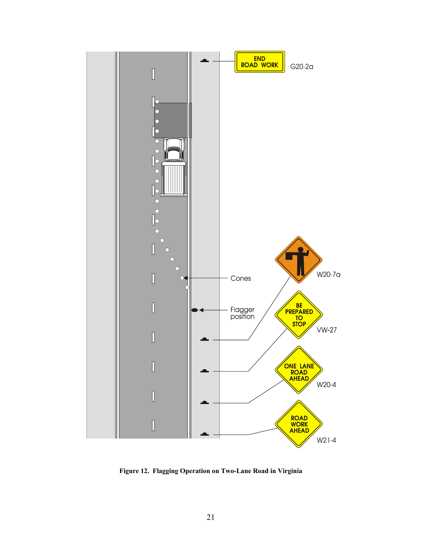

**Figure 12. Flagging Operation on Two-Lane Road in Virginia**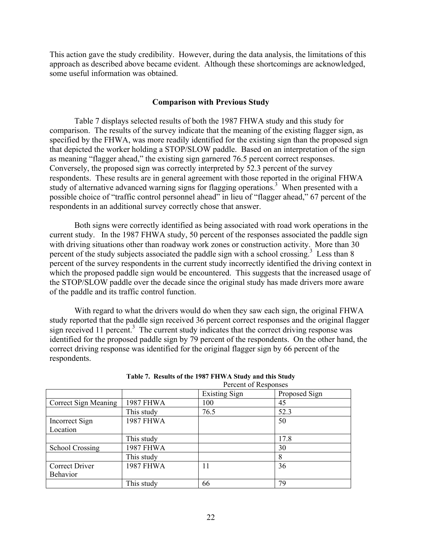This action gave the study credibility. However, during the data analysis, the limitations of this approach as described above became evident. Although these shortcomings are acknowledged, some useful information was obtained.

## **Comparison with Previous Study**

 Table 7 displays selected results of both the 1987 FHWA study and this study for comparison. The results of the survey indicate that the meaning of the existing flagger sign, as specified by the FHWA, was more readily identified for the existing sign than the proposed sign that depicted the worker holding a STOP/SLOW paddle. Based on an interpretation of the sign as meaning "flagger ahead," the existing sign garnered 76.5 percent correct responses. Conversely, the proposed sign was correctly interpreted by 52.3 percent of the survey respondents. These results are in general agreement with those reported in the original FHWA study of alternative advanced warning signs for flagging operations.<sup>3</sup> When presented with a possible choice of "traffic control personnel ahead" in lieu of "flagger ahead," 67 percent of the respondents in an additional survey correctly chose that answer.

Both signs were correctly identified as being associated with road work operations in the current study. In the 1987 FHWA study, 50 percent of the responses associated the paddle sign with driving situations other than roadway work zones or construction activity. More than 30 percent of the study subjects associated the paddle sign with a school crossing.<sup>3</sup> Less than 8 percent of the survey respondents in the current study incorrectly identified the driving context in which the proposed paddle sign would be encountered. This suggests that the increased usage of the STOP/SLOW paddle over the decade since the original study has made drivers more aware of the paddle and its traffic control function.

With regard to what the drivers would do when they saw each sign, the original FHWA study reported that the paddle sign received 36 percent correct responses and the original flagger sign received 11 percent.<sup>3</sup> The current study indicates that the correct driving response was identified for the proposed paddle sign by 79 percent of the respondents. On the other hand, the correct driving response was identified for the original flagger sign by 66 percent of the respondents.

|                        | I CICCIII UI INSPUISCS |                      |               |
|------------------------|------------------------|----------------------|---------------|
|                        |                        | <b>Existing Sign</b> | Proposed Sign |
| Correct Sign Meaning   | <b>1987 FHWA</b>       | 100                  | 45            |
|                        | This study             | 76.5                 | 52.3          |
| Incorrect Sign         | <b>1987 FHWA</b>       |                      | 50            |
| Location               |                        |                      |               |
|                        | This study             |                      | 17.8          |
| <b>School Crossing</b> | <b>1987 FHWA</b>       |                      | 30            |
|                        | This study             |                      | 8             |
| <b>Correct Driver</b>  | <b>1987 FHWA</b>       | 11                   | 36            |
| Behavior               |                        |                      |               |
|                        | This study             | 66                   | 79            |

| Table 7. Results of the 1987 FHWA Study and this Study |  |
|--------------------------------------------------------|--|
| Percent of Responses                                   |  |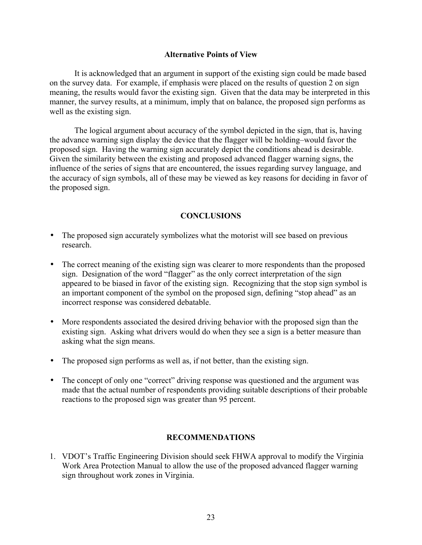## **Alternative Points of View**

It is acknowledged that an argument in support of the existing sign could be made based on the survey data. For example, if emphasis were placed on the results of question 2 on sign meaning, the results would favor the existing sign. Given that the data may be interpreted in this manner, the survey results, at a minimum, imply that on balance, the proposed sign performs as well as the existing sign.

The logical argument about accuracy of the symbol depicted in the sign, that is, having the advance warning sign display the device that the flagger will be holding—would favor the proposed sign. Having the warning sign accurately depict the conditions ahead is desirable. Given the similarity between the existing and proposed advanced flagger warning signs, the influence of the series of signs that are encountered, the issues regarding survey language, and the accuracy of sign symbols, all of these may be viewed as key reasons for deciding in favor of the proposed sign.

# **CONCLUSIONS**

- The proposed sign accurately symbolizes what the motorist will see based on previous research.
- The correct meaning of the existing sign was clearer to more respondents than the proposed sign. Designation of the word "flagger" as the only correct interpretation of the sign appeared to be biased in favor of the existing sign. Recognizing that the stop sign symbol is an important component of the symbol on the proposed sign, defining "stop ahead" as an incorrect response was considered debatable.
- More respondents associated the desired driving behavior with the proposed sign than the existing sign. Asking what drivers would do when they see a sign is a better measure than asking what the sign means.
- The proposed sign performs as well as, if not better, than the existing sign.
- The concept of only one "correct" driving response was questioned and the argument was made that the actual number of respondents providing suitable descriptions of their probable reactions to the proposed sign was greater than 95 percent.

# **RECOMMENDATIONS**

1. VDOTís Traffic Engineering Division should seek FHWA approval to modify the Virginia Work Area Protection Manual to allow the use of the proposed advanced flagger warning sign throughout work zones in Virginia.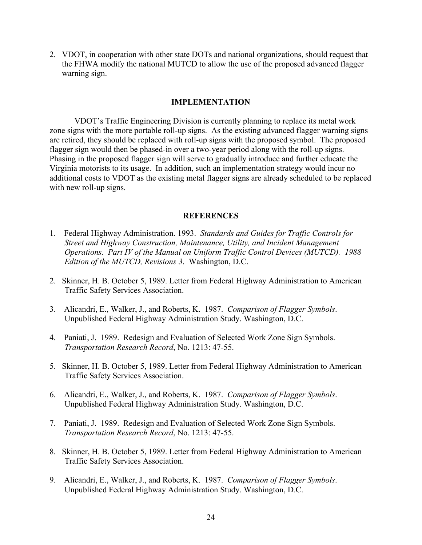2. VDOT, in cooperation with other state DOTs and national organizations, should request that the FHWA modify the national MUTCD to allow the use of the proposed advanced flagger warning sign.

### **IMPLEMENTATION**

VDOT's Traffic Engineering Division is currently planning to replace its metal work zone signs with the more portable roll-up signs. As the existing advanced flagger warning signs are retired, they should be replaced with roll-up signs with the proposed symbol. The proposed flagger sign would then be phased-in over a two-year period along with the roll-up signs. Phasing in the proposed flagger sign will serve to gradually introduce and further educate the Virginia motorists to its usage. In addition, such an implementation strategy would incur no additional costs to VDOT as the existing metal flagger signs are already scheduled to be replaced with new roll-up signs.

#### **REFERENCES**

- 1. Federal Highway Administration. 1993. *Standards and Guides for Traffic Controls for Street and Highway Construction, Maintenance, Utility, and Incident Management Operations. Part IV of the Manual on Uniform Traffic Control Devices (MUTCD). 1988 Edition of the MUTCD, Revisions 3*. Washington, D.C.
- 2. Skinner, H. B. October 5, 1989. Letter from Federal Highway Administration to American Traffic Safety Services Association.
- 3. Alicandri, E., Walker, J., and Roberts, K. 1987. *Comparison of Flagger Symbols*. Unpublished Federal Highway Administration Study. Washington, D.C.
- 4. Paniati, J. 1989. Redesign and Evaluation of Selected Work Zone Sign Symbols. *Transportation Research Record*, No. 1213: 47-55.
- 5. Skinner, H. B. October 5, 1989. Letter from Federal Highway Administration to American Traffic Safety Services Association.
- 6. Alicandri, E., Walker, J., and Roberts, K. 1987. *Comparison of Flagger Symbols*. Unpublished Federal Highway Administration Study. Washington, D.C.
- 7. Paniati, J. 1989. Redesign and Evaluation of Selected Work Zone Sign Symbols. *Transportation Research Record*, No. 1213: 47-55.
- 8. Skinner, H. B. October 5, 1989. Letter from Federal Highway Administration to American Traffic Safety Services Association.
- 9. Alicandri, E., Walker, J., and Roberts, K. 1987. *Comparison of Flagger Symbols*. Unpublished Federal Highway Administration Study. Washington, D.C.